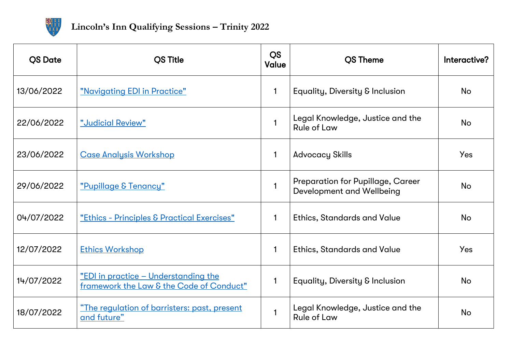

<span id="page-0-0"></span>

| <b>OS Date</b> | <b>OS Title</b>                                                                           | <b>QS</b><br><b>Value</b> | <b>OS Theme</b>                                                       | Interactive? |
|----------------|-------------------------------------------------------------------------------------------|---------------------------|-----------------------------------------------------------------------|--------------|
| 13/06/2022     | "Navigating EDI in Practice"                                                              | $\mathbf{1}$              | Equality, Diversity & Inclusion                                       | <b>No</b>    |
| 22/06/2022     | "Judicial Review"                                                                         | $\mathbf{1}$              | Legal Knowledge, Justice and the<br><b>Rule of Law</b>                | <b>No</b>    |
| 23/06/2022     | <b>Case Analysis Workshop</b>                                                             | $\mathbf{1}$              | <b>Advocacy Skills</b>                                                | <b>Yes</b>   |
| 29/06/2022     | "Pupillage & Tenancy"                                                                     | $\mathbf{1}$              | <b>Preparation for Pupillage, Career</b><br>Development and Wellbeing | <b>No</b>    |
| 04/07/2022     | <u> "Ethics - Principles &amp; Practical Exercises"</u>                                   | $\mathbf{1}$              | <b>Ethics, Standards and Value</b>                                    | No           |
| 12/07/2022     | <b>Ethics Workshop</b>                                                                    | $\mathbf{1}$              | <b>Ethics, Standards and Value</b>                                    | <b>Yes</b>   |
| 14/07/2022     | <u> "EDI in practice - Understanding the </u><br>framework the Law & the Code of Conduct" | $\mathbf{1}$              | Equality, Diversity & Inclusion                                       | <b>No</b>    |
| 18/07/2022     | <u>"The regulation of barristers: past, present</u><br>and future"                        | $\mathbf{1}$              | Legal Knowledge, Justice and the<br><b>Rule of Law</b>                | <b>No</b>    |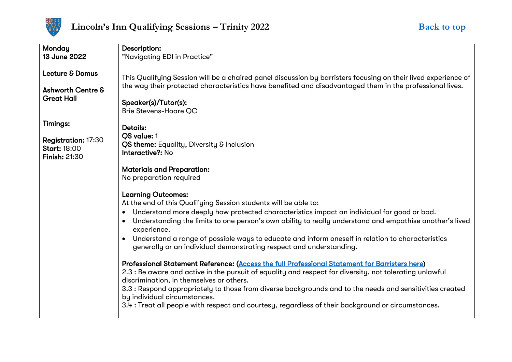

<span id="page-1-0"></span>

| Monday                       | Description:                                                                                                                        |
|------------------------------|-------------------------------------------------------------------------------------------------------------------------------------|
| 13 June 2022                 | "Navigating EDI in Practice"                                                                                                        |
|                              |                                                                                                                                     |
| Lecture & Domus              | This Qualifying Session will be a chaired panel discussion by barristers focusing on their lived experience of                      |
| <b>Ashworth Centre &amp;</b> | the way their protected characteristics have benefited and disadvantaged them in the professional lives.                            |
| <b>Great Hall</b>            | Speaker(s)/Tutor(s):                                                                                                                |
|                              | <b>Brie Stevens-Hoare QC</b>                                                                                                        |
|                              |                                                                                                                                     |
| <b>Timings:</b>              | <b>Details:</b>                                                                                                                     |
|                              | <b>QS</b> value: 1                                                                                                                  |
| <b>Registration: 17:30</b>   |                                                                                                                                     |
| <b>Start: 18:00</b>          | QS theme: Equality, Diversity & Inclusion<br><b>Interactive?: No</b>                                                                |
| <b>Finish: 21:30</b>         |                                                                                                                                     |
|                              |                                                                                                                                     |
|                              | <b>Materials and Preparation:</b>                                                                                                   |
|                              | No preparation required                                                                                                             |
|                              |                                                                                                                                     |
|                              | <b>Learning Outcomes:</b>                                                                                                           |
|                              | At the end of this Qualifying Session students will be able to:                                                                     |
|                              | Understand more deeply how protected characteristics impact an individual for good or bad.<br>$\bullet$                             |
|                              | Understanding the limits to one person's own ability to really understand and empathise another's lived<br>$\bullet$<br>experience. |
|                              | Understand a range of possible ways to educate and inform oneself in relation to characteristics                                    |
|                              | generally or an individual demonstrating respect and understanding.                                                                 |
|                              |                                                                                                                                     |
|                              | Professional Statement Reference: (Access the full Professional Statement for Barristers here)                                      |
|                              | 2.3 : Be aware and active in the pursuit of equality and respect for diversity, not tolerating unlawful                             |
|                              | discrimination, in themselves or others.                                                                                            |
|                              |                                                                                                                                     |
|                              | 3.3 : Respond appropriately to those from diverse backgrounds and to the needs and sensitivities created                            |
|                              | by individual circumstances.                                                                                                        |
|                              | 3.4 : Treat all people with respect and courtesy, regardless of their background or circumstances.                                  |
|                              |                                                                                                                                     |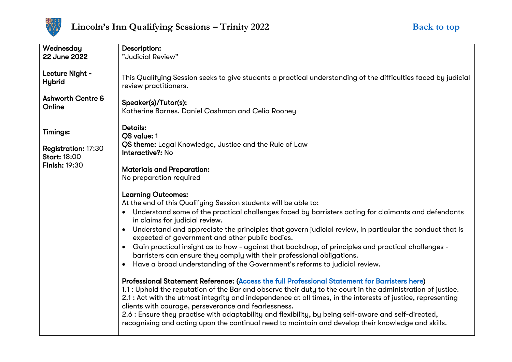

<span id="page-2-0"></span>

| Wednesday                                                                  | Description:                                                                                                                                                                                                                                                                                                                                                                                                                                                                                                                                                                                         |
|----------------------------------------------------------------------------|------------------------------------------------------------------------------------------------------------------------------------------------------------------------------------------------------------------------------------------------------------------------------------------------------------------------------------------------------------------------------------------------------------------------------------------------------------------------------------------------------------------------------------------------------------------------------------------------------|
| 22 June 2022                                                               | "Judicial Review"                                                                                                                                                                                                                                                                                                                                                                                                                                                                                                                                                                                    |
| Lecture Night -<br><b>Hybrid</b><br><b>Ashworth Centre &amp;</b><br>Online | This Qualifying Session seeks to give students a practical understanding of the difficulties faced by judicial<br>review practitioners.<br>Speaker(s)/Tutor(s):<br>Katherine Barnes, Daniel Cashman and Celia Rooney                                                                                                                                                                                                                                                                                                                                                                                 |
| <b>Timings:</b>                                                            | <b>Details:</b><br><b>OS value: 1</b>                                                                                                                                                                                                                                                                                                                                                                                                                                                                                                                                                                |
| <b>Registration: 17:30</b><br><b>Start: 18:00</b>                          | QS theme: Legal Knowledge, Justice and the Rule of Law<br>Interactive?: No                                                                                                                                                                                                                                                                                                                                                                                                                                                                                                                           |
| <b>Finish: 19:30</b>                                                       | <b>Materials and Preparation:</b><br>No preparation required                                                                                                                                                                                                                                                                                                                                                                                                                                                                                                                                         |
|                                                                            | <b>Learning Outcomes:</b><br>At the end of this Qualifying Session students will be able to:<br>Understand some of the practical challenges faced by barristers acting for claimants and defendants<br>$\bullet$                                                                                                                                                                                                                                                                                                                                                                                     |
|                                                                            | in claims for judicial review.                                                                                                                                                                                                                                                                                                                                                                                                                                                                                                                                                                       |
|                                                                            | Understand and appreciate the principles that govern judicial review, in particular the conduct that is<br>expected of government and other public bodies.                                                                                                                                                                                                                                                                                                                                                                                                                                           |
|                                                                            | Gain practical insight as to how - against that backdrop, of principles and practical challenges -<br>barristers can ensure they comply with their professional obligations.                                                                                                                                                                                                                                                                                                                                                                                                                         |
|                                                                            | Have a broad understanding of the Government's reforms to judicial review.                                                                                                                                                                                                                                                                                                                                                                                                                                                                                                                           |
|                                                                            | Professional Statement Reference: (Access the full Professional Statement for Barristers here)<br>1.1 : Uphold the reputation of the Bar and observe their duty to the court in the administration of justice.<br>2.1 : Act with the utmost integrity and independence at all times, in the interests of justice, representing<br>clients with courage, perseverance and fearlessness.<br>2.6 : Ensure they practise with adaptability and flexibility, by being self-aware and self-directed,<br>recognising and acting upon the continual need to maintain and develop their knowledge and skills. |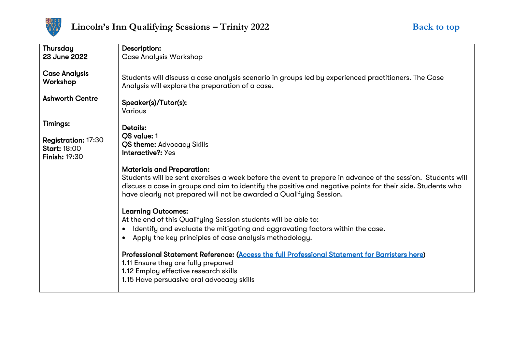

<span id="page-3-0"></span>

| <b>Thursday</b>                                                           | Description:                                                                                                                                                                                                                                                                                                                          |
|---------------------------------------------------------------------------|---------------------------------------------------------------------------------------------------------------------------------------------------------------------------------------------------------------------------------------------------------------------------------------------------------------------------------------|
| 23 June 2022                                                              | <b>Case Analysis Workshop</b>                                                                                                                                                                                                                                                                                                         |
|                                                                           |                                                                                                                                                                                                                                                                                                                                       |
| <b>Case Analysis</b><br>Workshop                                          | Students will discuss a case analysis scenario in groups led by experienced practitioners. The Case<br>Analysis will explore the preparation of a case.                                                                                                                                                                               |
| <b>Ashworth Centre</b>                                                    | Speaker(s)/Tutor(s):<br><b>Various</b>                                                                                                                                                                                                                                                                                                |
| <b>Timings:</b>                                                           | <b>Details:</b>                                                                                                                                                                                                                                                                                                                       |
| <b>Registration: 17:30</b><br><b>Start: 18:00</b><br><b>Finish: 19:30</b> | QS value: 1<br><b>QS theme: Advocacy Skills</b><br>Interactive?: Yes                                                                                                                                                                                                                                                                  |
|                                                                           |                                                                                                                                                                                                                                                                                                                                       |
|                                                                           | <b>Materials and Preparation:</b><br>Students will be sent exercises a week before the event to prepare in advance of the session. Students will<br>discuss a case in groups and aim to identify the positive and negative points for their side. Students who<br>have clearly not prepared will not be awarded a Qualifying Session. |
|                                                                           |                                                                                                                                                                                                                                                                                                                                       |
|                                                                           | <b>Learning Outcomes:</b><br>At the end of this Qualifying Session students will be able to:                                                                                                                                                                                                                                          |
|                                                                           |                                                                                                                                                                                                                                                                                                                                       |
|                                                                           | Identify and evaluate the mitigating and aggravating factors within the case.<br>$\bullet$                                                                                                                                                                                                                                            |
|                                                                           | Apply the key principles of case analysis methodology.<br>$\bullet$                                                                                                                                                                                                                                                                   |
|                                                                           | Professional Statement Reference: (Access the full Professional Statement for Barristers here)<br>1.11 Ensure they are fully prepared<br>1.12 Employ effective research skills<br>1.15 Have persuasive oral advocacy skills                                                                                                           |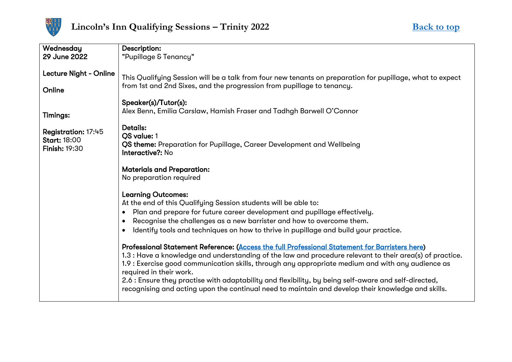

<span id="page-4-0"></span>

| Wednesday                                                          | Description:                                                                                                                                                                                                                                                                                                                                                                                                                                                                                                                                             |
|--------------------------------------------------------------------|----------------------------------------------------------------------------------------------------------------------------------------------------------------------------------------------------------------------------------------------------------------------------------------------------------------------------------------------------------------------------------------------------------------------------------------------------------------------------------------------------------------------------------------------------------|
| 29 June 2022                                                       | "Pupillage & Tenancy"                                                                                                                                                                                                                                                                                                                                                                                                                                                                                                                                    |
| Lecture Night - Online<br>Online                                   | This Qualifying Session will be a talk from four new tenants on preparation for pupillage, what to expect<br>from 1st and 2nd Sixes, and the progression from pupillage to tenancy.<br>Speaker(s)/Tutor(s):                                                                                                                                                                                                                                                                                                                                              |
| <b>Timings:</b>                                                    | Alex Benn, Emilia Carslaw, Hamish Fraser and Tadhgh Barwell O'Connor                                                                                                                                                                                                                                                                                                                                                                                                                                                                                     |
| Registration: 17:45<br><b>Start: 18:00</b><br><b>Finish: 19:30</b> | <b>Details:</b><br>QS value: 1<br>QS theme: Preparation for Pupillage, Career Development and Wellbeing<br>Interactive?: No                                                                                                                                                                                                                                                                                                                                                                                                                              |
|                                                                    | <b>Materials and Preparation:</b><br>No preparation required                                                                                                                                                                                                                                                                                                                                                                                                                                                                                             |
|                                                                    | <b>Learning Outcomes:</b><br>At the end of this Qualifying Session students will be able to:                                                                                                                                                                                                                                                                                                                                                                                                                                                             |
|                                                                    | Plan and prepare for future career development and pupillage effectively.<br>$\bullet$                                                                                                                                                                                                                                                                                                                                                                                                                                                                   |
|                                                                    | Recognise the challenges as a new barrister and how to overcome them.<br>$\bullet$                                                                                                                                                                                                                                                                                                                                                                                                                                                                       |
|                                                                    | Identify tools and techniques on how to thrive in pupillage and build your practice.<br>$\bullet$                                                                                                                                                                                                                                                                                                                                                                                                                                                        |
|                                                                    | Professional Statement Reference: (Access the full Professional Statement for Barristers here)<br>1.3 : Have a knowledge and understanding of the law and procedure relevant to their area(s) of practice.<br>1.9 : Exercise good communication skills, through any appropriate medium and with any audience as<br>required in their work.<br>2.6 : Ensure they practise with adaptability and flexibility, by being self-aware and self-directed,<br>recognising and acting upon the continual need to maintain and develop their knowledge and skills. |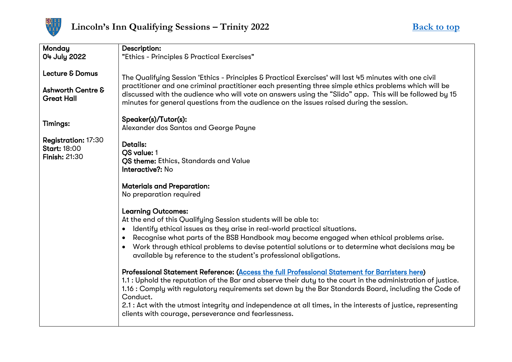

<span id="page-5-0"></span>

| <b>Monday</b><br>04 July 2022                                                   | Description:<br>"Ethics - Principles & Practical Exercises"                                                                                                                                                                                                                                                                                                                                                                                                                                                 |
|---------------------------------------------------------------------------------|-------------------------------------------------------------------------------------------------------------------------------------------------------------------------------------------------------------------------------------------------------------------------------------------------------------------------------------------------------------------------------------------------------------------------------------------------------------------------------------------------------------|
| <b>Lecture &amp; Domus</b><br><b>Ashworth Centre &amp;</b><br><b>Great Hall</b> | The Qualifying Session 'Ethics - Principles & Practical Exercises' will last 45 minutes with one civil<br>practitioner and one criminal practitioner each presenting three simple ethics problems which will be<br>discussed with the audience who will vote on answers using the "Slido" app. This will be followed by 15<br>minutes for general questions from the audience on the issues raised during the session.                                                                                      |
| <b>Timings:</b>                                                                 | Speaker(s)/Tutor(s):<br>Alexander dos Santos and George Payne                                                                                                                                                                                                                                                                                                                                                                                                                                               |
| <b>Registration: 17:30</b><br><b>Start: 18:00</b><br><b>Finish: 21:30</b>       | Details:<br>OS value: 1<br>QS theme: Ethics, Standards and Value<br>Interactive?: No                                                                                                                                                                                                                                                                                                                                                                                                                        |
|                                                                                 | <b>Materials and Preparation:</b><br>No preparation required                                                                                                                                                                                                                                                                                                                                                                                                                                                |
|                                                                                 | <b>Learning Outcomes:</b><br>At the end of this Qualifying Session students will be able to:<br>Identify ethical issues as they arise in real-world practical situations.<br>$\bullet$<br>Recognise what parts of the BSB Handbook may become engaged when ethical problems arise.<br>$\bullet$<br>Work through ethical problems to devise potential solutions or to determine what decisions may be<br>available by reference to the student's professional obligations.                                   |
|                                                                                 | Professional Statement Reference: (Access the full Professional Statement for Barristers here)<br>1.1 : Uphold the reputation of the Bar and observe their duty to the court in the administration of justice.<br>1.16 : Comply with regulatory requirements set down by the Bar Standards Board, including the Code of<br>Conduct.<br>2.1 : Act with the utmost integrity and independence at all times, in the interests of justice, representing<br>clients with courage, perseverance and fearlessness. |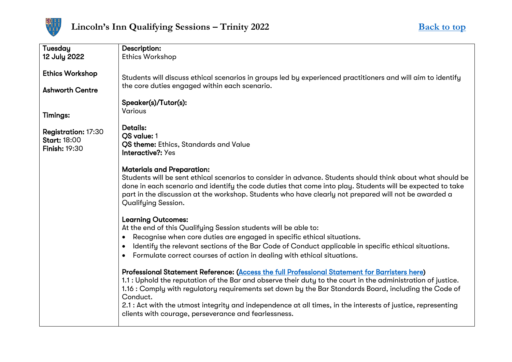

<span id="page-6-0"></span>

| Tuesday                    | Description:                                                                                                      |
|----------------------------|-------------------------------------------------------------------------------------------------------------------|
| 12 July 2022               | <b>Ethics Workshop</b>                                                                                            |
|                            |                                                                                                                   |
| <b>Ethics Workshop</b>     |                                                                                                                   |
|                            | Students will discuss ethical scenarios in groups led by experienced practitioners and will aim to identify       |
| <b>Ashworth Centre</b>     | the core duties engaged within each scenario.                                                                     |
|                            |                                                                                                                   |
|                            | Speaker(s)/Tutor(s):                                                                                              |
| <b>Timings:</b>            | <b>Various</b>                                                                                                    |
|                            |                                                                                                                   |
| <b>Registration: 17:30</b> | <b>Details:</b>                                                                                                   |
| <b>Start: 18:00</b>        | <b>QS</b> value: 1                                                                                                |
| <b>Finish: 19:30</b>       | <b>QS theme:</b> Ethics, Standards and Value                                                                      |
|                            | Interactive?: Yes                                                                                                 |
|                            |                                                                                                                   |
|                            | <b>Materials and Preparation:</b>                                                                                 |
|                            | Students will be sent ethical scenarios to consider in advance. Students should think about what should be        |
|                            | done in each scenario and identify the code duties that come into play. Students will be expected to take         |
|                            | part in the discussion at the workshop. Students who have clearly not prepared will not be awarded a              |
|                            | Qualifying Session.                                                                                               |
|                            |                                                                                                                   |
|                            | <b>Learning Outcomes:</b>                                                                                         |
|                            | At the end of this Qualifying Session students will be able to:                                                   |
|                            | Recognise when core duties are engaged in specific ethical situations.<br>$\bullet$                               |
|                            | Identify the relevant sections of the Bar Code of Conduct applicable in specific ethical situations.<br>$\bullet$ |
|                            | Formulate correct courses of action in dealing with ethical situations.                                           |
|                            |                                                                                                                   |
|                            | Professional Statement Reference: (Access the full Professional Statement for Barristers here)                    |
|                            | 1.1 : Uphold the reputation of the Bar and observe their duty to the court in the administration of justice.      |
|                            |                                                                                                                   |
|                            | 1.16 : Comply with regulatory requirements set down by the Bar Standards Board, including the Code of             |
|                            | Conduct.                                                                                                          |
|                            | 2.1 : Act with the utmost integrity and independence at all times, in the interests of justice, representing      |
|                            | clients with courage, perseverance and fearlessness.                                                              |
|                            |                                                                                                                   |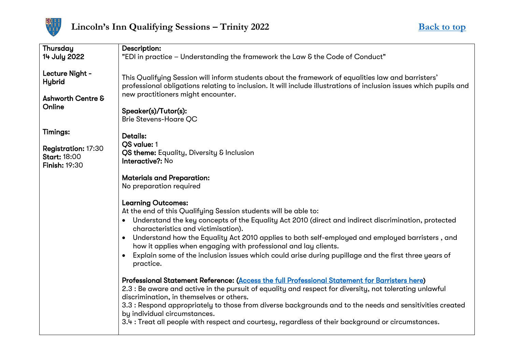

<span id="page-7-0"></span>

| Thursday                                                                   | Description:                                                                                                                                                                                                                                                                                                                                                                                                                                                                                                                          |
|----------------------------------------------------------------------------|---------------------------------------------------------------------------------------------------------------------------------------------------------------------------------------------------------------------------------------------------------------------------------------------------------------------------------------------------------------------------------------------------------------------------------------------------------------------------------------------------------------------------------------|
| 14 July 2022                                                               | "EDI in practice - Understanding the framework the Law & the Code of Conduct"                                                                                                                                                                                                                                                                                                                                                                                                                                                         |
| Lecture Night -<br><b>Hybrid</b><br><b>Ashworth Centre &amp;</b><br>Online | This Qualifying Session will inform students about the framework of equalities law and barristers'<br>professional obligations relating to inclusion. It will include illustrations of inclusion issues which pupils and<br>new practitioners might encounter.<br>Speaker(s)/Tutor(s):<br><b>Brie Stevens-Hoare QC</b>                                                                                                                                                                                                                |
| <b>Timings:</b><br>Registration: 17:30<br><b>Start: 18:00</b>              | <b>Details:</b><br>QS value: 1<br>QS theme: Equality, Diversity & Inclusion                                                                                                                                                                                                                                                                                                                                                                                                                                                           |
| <b>Finish: 19:30</b>                                                       | Interactive?: No                                                                                                                                                                                                                                                                                                                                                                                                                                                                                                                      |
|                                                                            | <b>Materials and Preparation:</b><br>No preparation required                                                                                                                                                                                                                                                                                                                                                                                                                                                                          |
|                                                                            | <b>Learning Outcomes:</b><br>At the end of this Qualifying Session students will be able to:<br>Understand the key concepts of the Equality Act 2010 (direct and indirect discrimination, protected<br>characteristics and victimisation).<br>Understand how the Equality Act 2010 applies to both self-employed and employed barristers, and<br>how it applies when engaging with professional and lay clients.<br>Explain some of the inclusion issues which could arise during pupillage and the first three years of<br>practice. |
|                                                                            | Professional Statement Reference: (Access the full Professional Statement for Barristers here)<br>2.3 : Be aware and active in the pursuit of equality and respect for diversity, not tolerating unlawful<br>discrimination, in themselves or others.<br>3.3 : Respond appropriately to those from diverse backgrounds and to the needs and sensitivities created<br>by individual circumstances.<br>3.4 : Treat all people with respect and courtesy, regardless of their background or circumstances.                               |